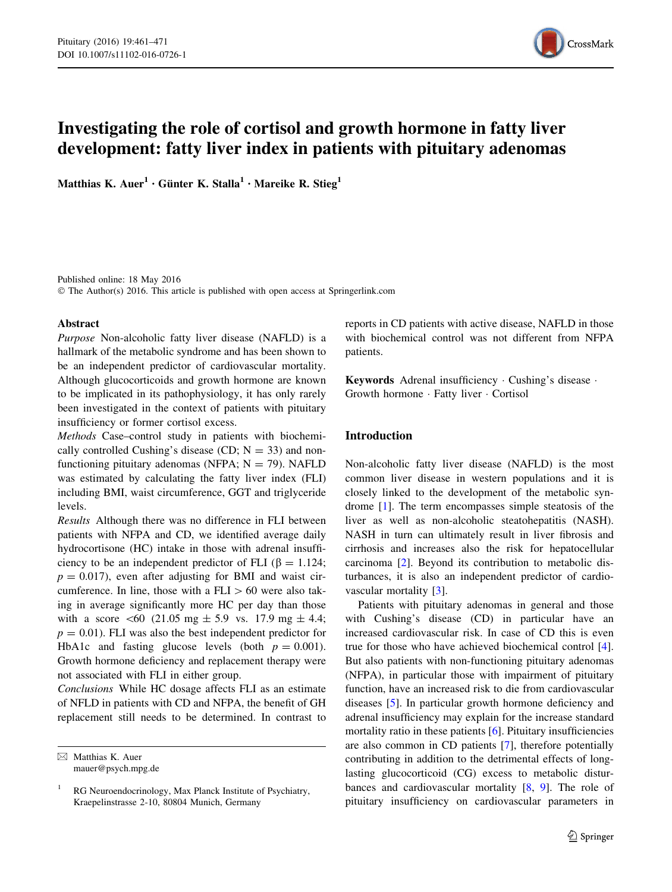

## Investigating the role of cortisol and growth hormone in fatty liver development: fatty liver index in patients with pituitary adenomas

Matthias K. Auer<sup>1</sup> · Günter K. Stalla<sup>1</sup> · Mareike R. Stieg<sup>1</sup>

Published online: 18 May 2016 © The Author(s) 2016. This article is published with open access at Springerlink.com

## Abstract

Purpose Non-alcoholic fatty liver disease (NAFLD) is a hallmark of the metabolic syndrome and has been shown to be an independent predictor of cardiovascular mortality. Although glucocorticoids and growth hormone are known to be implicated in its pathophysiology, it has only rarely been investigated in the context of patients with pituitary insufficiency or former cortisol excess.

Methods Case–control study in patients with biochemically controlled Cushing's disease (CD;  $N = 33$ ) and nonfunctioning pituitary adenomas (NFPA;  $N = 79$ ). NAFLD was estimated by calculating the fatty liver index (FLI) including BMI, waist circumference, GGT and triglyceride levels.

Results Although there was no difference in FLI between patients with NFPA and CD, we identified average daily hydrocortisone (HC) intake in those with adrenal insufficiency to be an independent predictor of FLI ( $\beta = 1.124$ ;  $p = 0.017$ , even after adjusting for BMI and waist circumference. In line, those with a  $FLI > 60$  were also taking in average significantly more HC per day than those with a score  $\leq 60$  (21.05 mg  $\pm$  5.9 vs. 17.9 mg  $\pm$  4.4;  $p = 0.01$ ). FLI was also the best independent predictor for HbA1c and fasting glucose levels (both  $p = 0.001$ ). Growth hormone deficiency and replacement therapy were not associated with FLI in either group.

Conclusions While HC dosage affects FLI as an estimate of NFLD in patients with CD and NFPA, the benefit of GH replacement still needs to be determined. In contrast to

 $\boxtimes$  Matthias K. Auer mauer@psych.mpg.de reports in CD patients with active disease, NAFLD in those with biochemical control was not different from NFPA patients.

Keywords Adrenal insufficiency - Cushing's disease - Growth hormone - Fatty liver - Cortisol

## Introduction

Non-alcoholic fatty liver disease (NAFLD) is the most common liver disease in western populations and it is closely linked to the development of the metabolic syndrome [[1\]](#page-8-0). The term encompasses simple steatosis of the liver as well as non-alcoholic steatohepatitis (NASH). NASH in turn can ultimately result in liver fibrosis and cirrhosis and increases also the risk for hepatocellular carcinoma [[2\]](#page-8-0). Beyond its contribution to metabolic disturbances, it is also an independent predictor of cardiovascular mortality [\[3](#page-8-0)].

Patients with pituitary adenomas in general and those with Cushing's disease (CD) in particular have an increased cardiovascular risk. In case of CD this is even true for those who have achieved biochemical control [\[4](#page-8-0)]. But also patients with non-functioning pituitary adenomas (NFPA), in particular those with impairment of pituitary function, have an increased risk to die from cardiovascular diseases [[5\]](#page-8-0). In particular growth hormone deficiency and adrenal insufficiency may explain for the increase standard mortality ratio in these patients [\[6](#page-8-0)]. Pituitary insufficiencies are also common in CD patients [\[7](#page-8-0)], therefore potentially contributing in addition to the detrimental effects of longlasting glucocorticoid (CG) excess to metabolic disturbances and cardiovascular mortality [\[8](#page-8-0), [9\]](#page-8-0). The role of pituitary insufficiency on cardiovascular parameters in

RG Neuroendocrinology, Max Planck Institute of Psychiatry, Kraepelinstrasse 2-10, 80804 Munich, Germany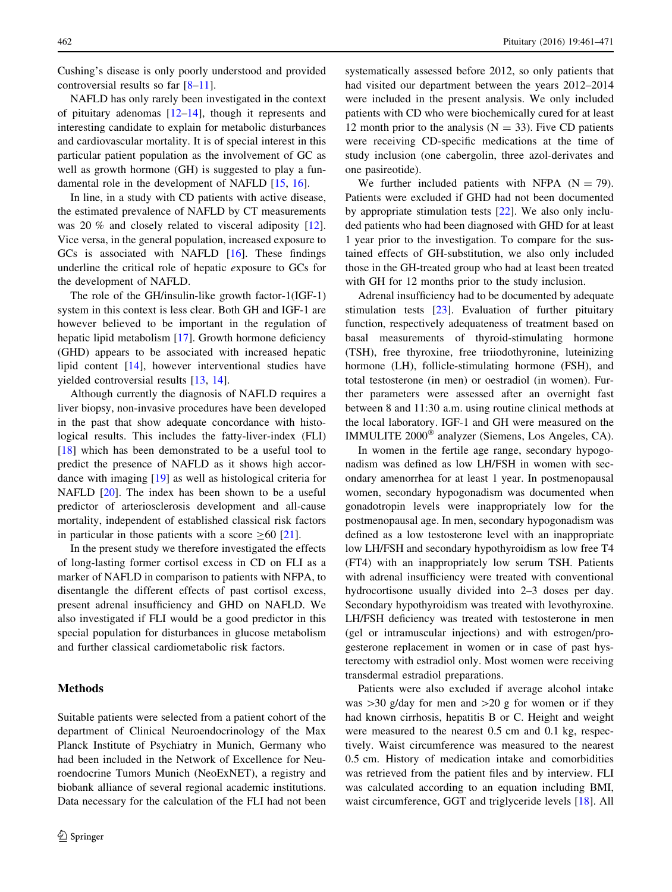Cushing's disease is only poorly understood and provided controversial results so far  $[8-11]$ .

NAFLD has only rarely been investigated in the context of pituitary adenomas [[12–14\]](#page-9-0), though it represents and interesting candidate to explain for metabolic disturbances and cardiovascular mortality. It is of special interest in this particular patient population as the involvement of GC as well as growth hormone (GH) is suggested to play a fundamental role in the development of NAFLD [\[15](#page-9-0), [16](#page-9-0)].

In line, in a study with CD patients with active disease, the estimated prevalence of NAFLD by CT measurements was 20 % and closely related to visceral adiposity [\[12](#page-9-0)]. Vice versa, in the general population, increased exposure to GCs is associated with NAFLD  $[16]$ . These findings underline the critical role of hepatic exposure to GCs for the development of NAFLD.

The role of the GH/insulin-like growth factor-1(IGF-1) system in this context is less clear. Both GH and IGF-1 are however believed to be important in the regulation of hepatic lipid metabolism [\[17](#page-9-0)]. Growth hormone deficiency (GHD) appears to be associated with increased hepatic lipid content [[14\]](#page-9-0), however interventional studies have yielded controversial results [\[13](#page-9-0), [14](#page-9-0)].

Although currently the diagnosis of NAFLD requires a liver biopsy, non-invasive procedures have been developed in the past that show adequate concordance with histological results. This includes the fatty-liver-index (FLI) [\[18](#page-9-0)] which has been demonstrated to be a useful tool to predict the presence of NAFLD as it shows high accordance with imaging [\[19](#page-9-0)] as well as histological criteria for NAFLD [[20\]](#page-9-0). The index has been shown to be a useful predictor of arteriosclerosis development and all-cause mortality, independent of established classical risk factors in particular in those patients with a score  $\geq 60$  [\[21](#page-9-0)].

In the present study we therefore investigated the effects of long-lasting former cortisol excess in CD on FLI as a marker of NAFLD in comparison to patients with NFPA, to disentangle the different effects of past cortisol excess, present adrenal insufficiency and GHD on NAFLD. We also investigated if FLI would be a good predictor in this special population for disturbances in glucose metabolism and further classical cardiometabolic risk factors.

## Methods

Suitable patients were selected from a patient cohort of the department of Clinical Neuroendocrinology of the Max Planck Institute of Psychiatry in Munich, Germany who had been included in the Network of Excellence for Neuroendocrine Tumors Munich (NeoExNET), a registry and biobank alliance of several regional academic institutions. Data necessary for the calculation of the FLI had not been systematically assessed before 2012, so only patients that had visited our department between the years 2012–2014 were included in the present analysis. We only included patients with CD who were biochemically cured for at least 12 month prior to the analysis ( $N = 33$ ). Five CD patients were receiving CD-specific medications at the time of study inclusion (one cabergolin, three azol-derivates and one pasireotide).

We further included patients with NFPA  $(N = 79)$ . Patients were excluded if GHD had not been documented by appropriate stimulation tests [[22\]](#page-9-0). We also only included patients who had been diagnosed with GHD for at least 1 year prior to the investigation. To compare for the sustained effects of GH-substitution, we also only included those in the GH-treated group who had at least been treated with GH for 12 months prior to the study inclusion.

Adrenal insufficiency had to be documented by adequate stimulation tests [[23\]](#page-9-0). Evaluation of further pituitary function, respectively adequateness of treatment based on basal measurements of thyroid-stimulating hormone (TSH), free thyroxine, free triiodothyronine, luteinizing hormone (LH), follicle-stimulating hormone (FSH), and total testosterone (in men) or oestradiol (in women). Further parameters were assessed after an overnight fast between 8 and 11:30 a.m. using routine clinical methods at the local laboratory. IGF-1 and GH were measured on the IMMULITE 2000<sup>®</sup> analyzer (Siemens, Los Angeles, CA).

In women in the fertile age range, secondary hypogonadism was defined as low LH/FSH in women with secondary amenorrhea for at least 1 year. In postmenopausal women, secondary hypogonadism was documented when gonadotropin levels were inappropriately low for the postmenopausal age. In men, secondary hypogonadism was defined as a low testosterone level with an inappropriate low LH/FSH and secondary hypothyroidism as low free T4 (FT4) with an inappropriately low serum TSH. Patients with adrenal insufficiency were treated with conventional hydrocortisone usually divided into 2–3 doses per day. Secondary hypothyroidism was treated with levothyroxine. LH/FSH deficiency was treated with testosterone in men (gel or intramuscular injections) and with estrogen/progesterone replacement in women or in case of past hysterectomy with estradiol only. Most women were receiving transdermal estradiol preparations.

Patients were also excluded if average alcohol intake was  $>30$  g/day for men and  $>20$  g for women or if they had known cirrhosis, hepatitis B or C. Height and weight were measured to the nearest 0.5 cm and 0.1 kg, respectively. Waist circumference was measured to the nearest 0.5 cm. History of medication intake and comorbidities was retrieved from the patient files and by interview. FLI was calculated according to an equation including BMI, waist circumference, GGT and triglyceride levels [[18\]](#page-9-0). All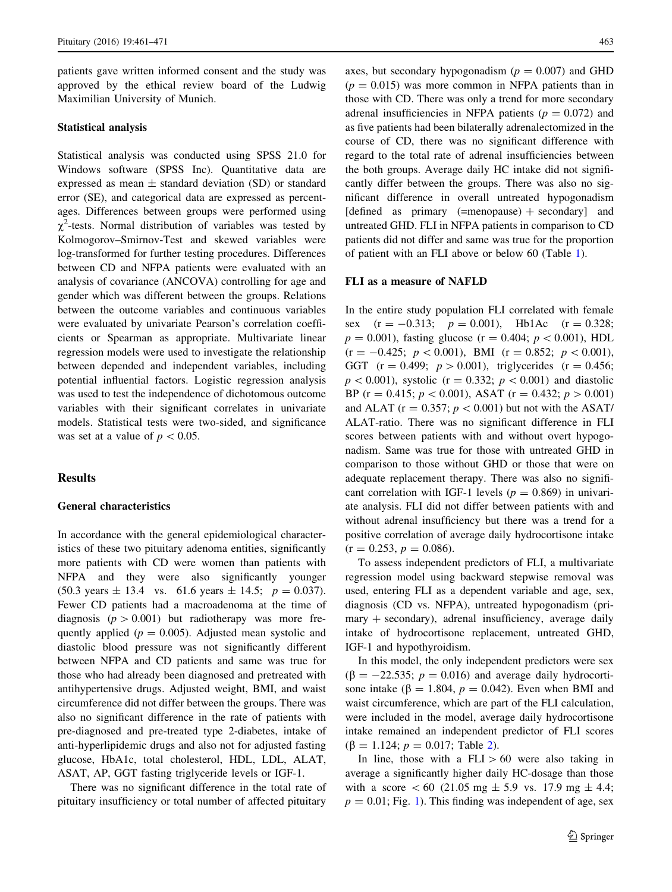patients gave written informed consent and the study was approved by the ethical review board of the Ludwig Maximilian University of Munich.

## Statistical analysis

Statistical analysis was conducted using SPSS 21.0 for Windows software (SPSS Inc). Quantitative data are expressed as mean  $\pm$  standard deviation (SD) or standard error (SE), and categorical data are expressed as percentages. Differences between groups were performed using  $\chi^2$ -tests. Normal distribution of variables was tested by Kolmogorov–Smirnov-Test and skewed variables were log-transformed for further testing procedures. Differences between CD and NFPA patients were evaluated with an analysis of covariance (ANCOVA) controlling for age and gender which was different between the groups. Relations between the outcome variables and continuous variables were evaluated by univariate Pearson's correlation coefficients or Spearman as appropriate. Multivariate linear regression models were used to investigate the relationship between depended and independent variables, including potential influential factors. Logistic regression analysis was used to test the independence of dichotomous outcome variables with their significant correlates in univariate models. Statistical tests were two-sided, and significance was set at a value of  $p < 0.05$ .

## **Results**

## General characteristics

In accordance with the general epidemiological characteristics of these two pituitary adenoma entities, significantly more patients with CD were women than patients with NFPA and they were also significantly younger  $(50.3 \text{ years} \pm 13.4 \text{ vs. } 61.6 \text{ years} \pm 14.5; p = 0.037).$ Fewer CD patients had a macroadenoma at the time of diagnosis ( $p > 0.001$ ) but radiotherapy was more frequently applied ( $p = 0.005$ ). Adjusted mean systolic and diastolic blood pressure was not significantly different between NFPA and CD patients and same was true for those who had already been diagnosed and pretreated with antihypertensive drugs. Adjusted weight, BMI, and waist circumference did not differ between the groups. There was also no significant difference in the rate of patients with pre-diagnosed and pre-treated type 2-diabetes, intake of anti-hyperlipidemic drugs and also not for adjusted fasting glucose, HbA1c, total cholesterol, HDL, LDL, ALAT, ASAT, AP, GGT fasting triglyceride levels or IGF-1.

There was no significant difference in the total rate of pituitary insufficiency or total number of affected pituitary axes, but secondary hypogonadism ( $p = 0.007$ ) and GHD  $(p = 0.015)$  was more common in NFPA patients than in those with CD. There was only a trend for more secondary adrenal insufficiencies in NFPA patients ( $p = 0.072$ ) and as five patients had been bilaterally adrenalectomized in the course of CD, there was no significant difference with regard to the total rate of adrenal insufficiencies between the both groups. Average daily HC intake did not significantly differ between the groups. There was also no significant difference in overall untreated hypogonadism  $[defined as primary (=menopause) + secondary]$  and untreated GHD. FLI in NFPA patients in comparison to CD patients did not differ and same was true for the proportion of patient with an FLI above or below 60 (Table [1](#page-3-0)).

## FLI as a measure of NAFLD

In the entire study population FLI correlated with female sex  $(r = -0.313; p = 0.001)$ , Hb1Ac  $(r = 0.328;$  $p = 0.001$ , fasting glucose (r = 0.404;  $p < 0.001$ ), HDL  $(r = -0.425; p < 0.001)$ , BMI  $(r = 0.852; p < 0.001)$ , GGT (r = 0.499;  $p > 0.001$ ), triglycerides (r = 0.456;  $p < 0.001$ ), systolic (r = 0.332;  $p < 0.001$ ) and diastolic BP (r = 0.415;  $p < 0.001$ ), ASAT (r = 0.432;  $p > 0.001$ ) and ALAT ( $r = 0.357$ ;  $p < 0.001$ ) but not with the ASAT/ ALAT-ratio. There was no significant difference in FLI scores between patients with and without overt hypogonadism. Same was true for those with untreated GHD in comparison to those without GHD or those that were on adequate replacement therapy. There was also no significant correlation with IGF-1 levels ( $p = 0.869$ ) in univariate analysis. FLI did not differ between patients with and without adrenal insufficiency but there was a trend for a positive correlation of average daily hydrocortisone intake  $(r = 0.253, p = 0.086)$ .

To assess independent predictors of FLI, a multivariate regression model using backward stepwise removal was used, entering FLI as a dependent variable and age, sex, diagnosis (CD vs. NFPA), untreated hypogonadism (pri $mary + secondary$ , adrenal insufficiency, average daily intake of hydrocortisone replacement, untreated GHD, IGF-1 and hypothyroidism.

In this model, the only independent predictors were sex  $(\beta = -22.535; p = 0.016)$  and average daily hydrocortisone intake ( $\beta = 1.804$ ,  $p = 0.042$ ). Even when BMI and waist circumference, which are part of the FLI calculation, were included in the model, average daily hydrocortisone intake remained an independent predictor of FLI scores  $(\beta = 1.124; p = 0.017;$  $(\beta = 1.124; p = 0.017;$  $(\beta = 1.124; p = 0.017;$  Table 2).

In line, those with a  $FLI > 60$  were also taking in average a significantly higher daily HC-dosage than those with a score  $\lt 60$  (21.05 mg  $\pm$  5.9 vs. 17.9 mg  $\pm$  4.4;  $p = 0.01$  $p = 0.01$ ; Fig. 1). This finding was independent of age, sex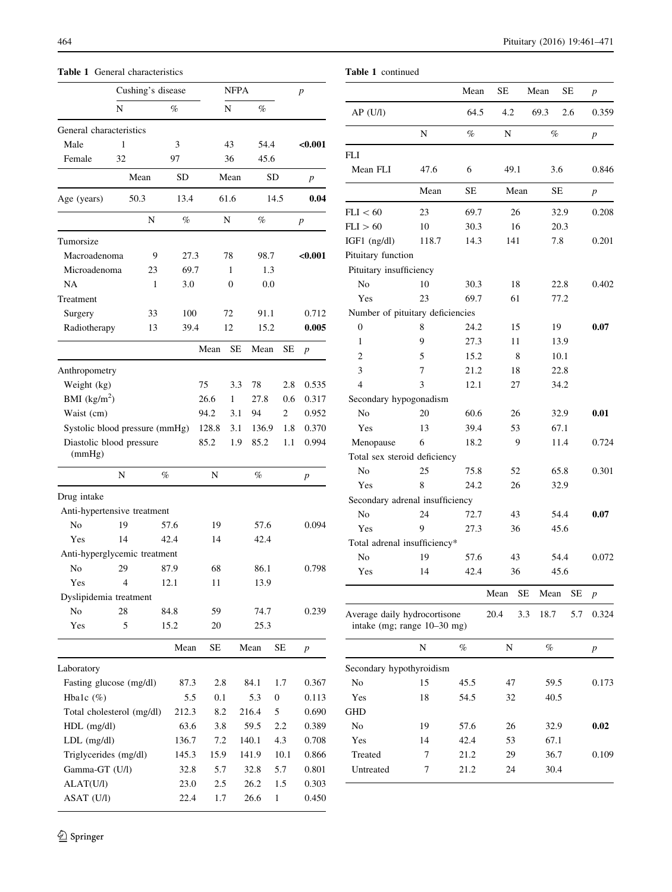<span id="page-3-0"></span> $\frac{1}{1}$ 

| Table 1 General characteristics    |                   |           |             |                  |             |                  |                  | Table 1 continued                                           |             |              |           |           |           |                  |                  |
|------------------------------------|-------------------|-----------|-------------|------------------|-------------|------------------|------------------|-------------------------------------------------------------|-------------|--------------|-----------|-----------|-----------|------------------|------------------|
|                                    | Cushing's disease |           | <b>NFPA</b> |                  |             | $\boldsymbol{p}$ |                  |                                                             | Mean        | <b>SE</b>    |           | Mean      | <b>SE</b> | $\boldsymbol{p}$ |                  |
|                                    | ${\bf N}$         | $\%$      |             | ${\bf N}$        | $\%$        |                  |                  | AP(U/I)                                                     |             | 64.5         | 4.2       |           | 69.3      | 2.6              | 0.359            |
| General characteristics            |                   |           |             |                  |             |                  |                  |                                                             | N           | $\%$         | N         |           | $\%$      |                  | $\boldsymbol{p}$ |
| Male                               | 1                 | 3         |             | 43               | 54.4        |                  | < 0.001          |                                                             |             |              |           |           |           |                  |                  |
| Female                             | 32                | 97        |             | 36               | 45.6        |                  |                  | <b>FLI</b><br>Mean FLI                                      | 47.6        | 6            |           | 49.1      | 3.6       |                  | 0.846            |
|                                    | Mean              | <b>SD</b> |             | Mean             | <b>SD</b>   |                  | $\boldsymbol{p}$ |                                                             |             |              |           |           |           |                  |                  |
| Age (years)                        | 50.3              | 13.4      |             | 61.6             |             | 14.5             | 0.04             |                                                             | Mean        | <b>SE</b>    |           | Mean      | <b>SE</b> |                  | $\boldsymbol{p}$ |
|                                    | $\mathbf N$       | $\%$      |             | N                | $\%$        |                  | $\boldsymbol{p}$ | FLI < 60                                                    | 23<br>10    | 69.7         |           | 26        |           | 32.9             | 0.208            |
|                                    |                   |           |             |                  |             |                  |                  | FLI > 60                                                    | 118.7       | 30.3<br>14.3 |           | 16<br>141 | 7.8       | 20.3             | 0.201            |
| Tumorsize                          |                   |           |             |                  | 98.7        |                  | < 0.001          | $IGF1$ (ng/dl)                                              |             |              |           |           |           |                  |                  |
| Macroadenoma                       | 9                 | 27.3      |             | 78               |             |                  |                  | Pituitary function<br>Pituitary insufficiency               |             |              |           |           |           |                  |                  |
| Microadenoma                       | 23                | 69.7      |             | -1               | 1.3         |                  |                  | No                                                          | 10          | 30.3         |           | 18        |           | 22.8             | 0.402            |
| <b>NA</b>                          | $\mathbf{1}$      | 3.0       |             | $\boldsymbol{0}$ | 0.0         |                  |                  | Yes                                                         | 23          | 69.7         |           |           |           |                  |                  |
| Treatment                          |                   |           |             |                  |             |                  |                  |                                                             |             |              |           | 61        |           | 77.2             |                  |
| Surgery                            | 33                | 100       |             | 72               | 91.1        |                  | 0.712            | Number of pituitary deficiencies                            |             |              |           |           | 19        |                  | 0.07             |
| Radiotherapy                       | 13                | 39.4      |             | 12               | 15.2        |                  | 0.005            | $\boldsymbol{0}$                                            | 8           | 24.2<br>27.3 |           | 15        |           | 13.9             |                  |
|                                    |                   |           | Mean SE     |                  | Mean        |                  | $SE$ $p$         | 1                                                           | 9           |              |           | 11        |           |                  |                  |
|                                    |                   |           |             |                  |             |                  |                  | $\mathfrak{2}$                                              | 5           | 15.2         |           | 8         |           | 10.1             |                  |
| Anthropometry                      |                   |           | 75          | 3.3              | 78          |                  |                  | 3<br>$\overline{4}$                                         | $\tau$<br>3 | 21.2<br>12.1 |           | 18        |           | 22.8<br>34.2     |                  |
| Weight (kg)                        |                   |           |             |                  |             | 2.8              | 0.535            |                                                             |             |              |           | 27        |           |                  |                  |
| BMI $(kg/m2)$                      |                   |           | 26.6        | $\mathbf{1}$     | 27.8        | 0.6              | 0.317            | Secondary hypogonadism                                      |             |              |           |           |           |                  |                  |
| Waist (cm)                         |                   |           | 94.2        | 3.1              | 94<br>136.9 | 2                | 0.952<br>0.370   | No                                                          | 20          | 60.6         |           | 26        |           | 32.9             | 0.01             |
| Systolic blood pressure (mmHg)     |                   |           | 128.8       | 3.1<br>1.9       | 85.2        | 1.8              |                  | Yes                                                         | 13          | 39.4         |           | 53        |           | 67.1             |                  |
| Diastolic blood pressure<br>(mmHg) |                   |           | 85.2        |                  |             | 1.1              | 0.994            | Menopause                                                   | 6           | 18.2         |           | 9         |           | 11.4             | 0.724            |
|                                    |                   |           |             |                  |             |                  |                  | Total sex steroid deficiency                                | 25          |              |           |           |           |                  |                  |
|                                    | N                 | $\%$      | N           |                  | $\%$        |                  | $\boldsymbol{p}$ | No<br>Yes                                                   | 8           | 75.8<br>24.2 |           | 52        |           | 65.8             | 0.301            |
| Drug intake                        |                   |           |             |                  |             |                  |                  |                                                             |             |              |           | 26        |           | 32.9             |                  |
| Anti-hypertensive treatment        |                   |           |             |                  |             |                  |                  | Secondary adrenal insufficiency                             |             |              |           |           |           |                  |                  |
| No                                 | 19                | 57.6      | 19          |                  | 57.6        |                  | 0.094            | No                                                          | 24          | 72.7         |           | 43        |           | 54.4             | 0.07             |
| Yes                                | 14                | 42.4      | 14          |                  | 42.4        |                  |                  | Yes                                                         | 9           | 27.3         |           | 36        |           | 45.6             |                  |
| Anti-hyperglycemic treatment       |                   |           |             |                  |             |                  |                  | Total adrenal insufficiency*                                |             |              |           |           |           |                  |                  |
| No                                 | 29                | 87.9      | 68          |                  | 86.1        |                  | 0.798            | No                                                          | 19          | 57.6         |           | 43        |           | 54.4             | 0.072            |
| Yes                                | $\overline{4}$    | 12.1      | $11\,$      |                  | 13.9        |                  |                  | Yes                                                         | 14          | 42.4         |           | 36        |           | 45.6             |                  |
| Dyslipidemia treatment             |                   |           |             |                  |             |                  |                  |                                                             |             |              | Mean      | SE        | Mean      | $SE$ $p$         |                  |
| N <sub>0</sub>                     | $28\,$            | 84.8      | 59          |                  | 74.7        |                  | 0.239            |                                                             |             |              |           |           |           |                  |                  |
| Yes                                | 5                 | 15.2      | 20          |                  | 25.3        |                  |                  | Average daily hydrocortisone<br>intake (mg; range 10-30 mg) |             |              | 20.4      | 3.3       | 18.7      | 5.7              | 0.324            |
|                                    |                   | Mean      | $\rm SE$    |                  | Mean        | <b>SE</b>        | $\boldsymbol{p}$ |                                                             | ${\bf N}$   | $\%$         | ${\bf N}$ |           | $\%$      |                  | $\boldsymbol{p}$ |
| Laboratory                         |                   |           |             |                  |             |                  |                  | Secondary hypothyroidism                                    |             |              |           |           |           |                  |                  |
| Fasting glucose (mg/dl)            |                   | 87.3      | 2.8         |                  | 84.1        | 1.7              | 0.367            | No                                                          | 15          | 45.5         | 47        |           | 59.5      |                  | 0.173            |
| Hbalc $(\%)$                       |                   | 5.5       | 0.1         |                  | 5.3         | $\boldsymbol{0}$ | 0.113            | Yes                                                         | 18          | 54.5         | 32        |           | 40.5      |                  |                  |
| Total cholesterol (mg/dl)          |                   | 212.3     | 8.2         |                  | 216.4       | 5                | 0.690            | <b>GHD</b>                                                  |             |              |           |           |           |                  |                  |
| HDL (mg/dl)                        |                   | 63.6      | 3.8         |                  | 59.5        | 2.2              | 0.389            | No                                                          | 19          | 57.6         | 26        |           | 32.9      |                  | 0.02             |
| LDL (mg/dl)                        |                   | 136.7     | 7.2         |                  | 140.1       | 4.3              | 0.708            | Yes                                                         | 14          | 42.4         | 53        |           | 67.1      |                  |                  |
| Triglycerides (mg/dl)              |                   | 145.3     | 15.9        |                  | 141.9       | 10.1             | 0.866            | Treated                                                     | 7           | 21.2         | 29        |           | 36.7      |                  | 0.109            |
| Gamma-GT (U/l)                     |                   | 32.8      | 5.7         |                  | 32.8        | 5.7              | 0.801            | Untreated                                                   | 7           | 21.2         | 24        |           | 30.4      |                  |                  |
| ALAT(U/l)                          |                   | 23.0      | 2.5         |                  | 26.2        | 1.5              | 0.303            |                                                             |             |              |           |           |           |                  |                  |
| ASAT (U/l)                         |                   | 22.4      | 1.7         |                  | 26.6        | $\mathbf{1}$     | 0.450            |                                                             |             |              |           |           |           |                  |                  |

| FLI                                                         |       |      |      |      |      |      |                  |
|-------------------------------------------------------------|-------|------|------|------|------|------|------------------|
| Mean FLI                                                    | 47.6  | 6    | 49.1 |      | 3.6  |      | 0.846            |
|                                                             | Mean  | SE   |      | Mean | SЕ   |      | $\boldsymbol{p}$ |
| FLI < 60                                                    | 23    | 69.7 |      | 26   | 32.9 |      | 0.208            |
| FLI > 60                                                    | 10    | 30.3 |      | 16   | 20.3 |      |                  |
| IGF1 (ng/dl)                                                | 118.7 | 14.3 |      | 141  | 7.8  |      | 0.201            |
| Pituitary function                                          |       |      |      |      |      |      |                  |
| Pituitary insufficiency                                     |       |      |      |      |      |      |                  |
| No                                                          | 10    | 30.3 |      | 18   |      | 22.8 |                  |
| Yes                                                         | 23    | 69.7 |      | 61   | 77.2 |      |                  |
| Number of pituitary deficiencies                            |       |      |      |      |      |      |                  |
| 0                                                           | 8     | 24.2 |      | 15   | 19   |      | 0.07             |
| 1                                                           | 9     | 27.3 |      | 11   |      | 13.9 |                  |
| $\overline{c}$                                              | 5     | 15.2 |      | 8    | 10.1 |      |                  |
| 3                                                           | 7     | 21.2 |      | 18   | 22.8 |      |                  |
| $\overline{4}$                                              | 3     | 12.1 |      | 27   | 34.2 |      |                  |
| Secondary hypogonadism                                      |       |      |      |      |      |      |                  |
| No                                                          | 20    | 60.6 |      | 26   | 32.9 |      | 0.01             |
| Yes                                                         | 13    | 39.4 | 53   |      | 67.1 |      |                  |
| Menopause                                                   | 6     | 18.2 |      | 9    | 11.4 |      | 0.724            |
| Total sex steroid deficiency                                |       |      |      |      |      |      |                  |
| No                                                          | 25    | 75.8 |      | 52   | 65.8 |      | 0.301            |
| Yes                                                         | 8     | 24.2 | 26   |      | 32.9 |      |                  |
| Secondary adrenal insufficiency                             |       |      |      |      |      |      |                  |
| No                                                          | 24    | 72.7 |      | 43   | 54.4 |      | 0.07             |
| Yes                                                         | 9     | 27.3 |      | 36   | 45.6 |      |                  |
| Total adrenal insufficiency*                                |       |      |      |      |      |      |                  |
| No                                                          | 19    | 57.6 |      | 43   | 54.4 |      | 0.072            |
| Yes                                                         | 14    | 42.4 |      | 36   | 45.6 |      |                  |
|                                                             |       |      |      |      |      |      |                  |
|                                                             |       |      | Mean | SE   | Mean | SE   | $\boldsymbol{p}$ |
| Average daily hydrocortisone<br>intake (mg; range 10–30 mg) |       |      | 20.4 | 3.3  | 18.7 | 5.7  | 0.324            |
|                                                             | N     | $\%$ | N    |      | $\%$ |      | $\boldsymbol{p}$ |
| Secondary hypothyroidism                                    |       |      |      |      |      |      |                  |
| No                                                          | 15    | 45.5 | 47   |      | 59.5 |      | 0.173            |
| Yes                                                         | 18    | 54.5 | 32   |      | 40.5 |      |                  |
| GHD                                                         |       |      |      |      |      |      |                  |
| No                                                          | 19    | 57.6 | 26   |      | 32.9 |      | 0.02             |
| Yes                                                         | 14    | 42.4 |      |      | 67.1 |      |                  |
|                                                             |       |      | 53   |      | 36.7 |      | 0.109            |
| Treated                                                     | 7     | 21.2 | 29   |      |      |      |                  |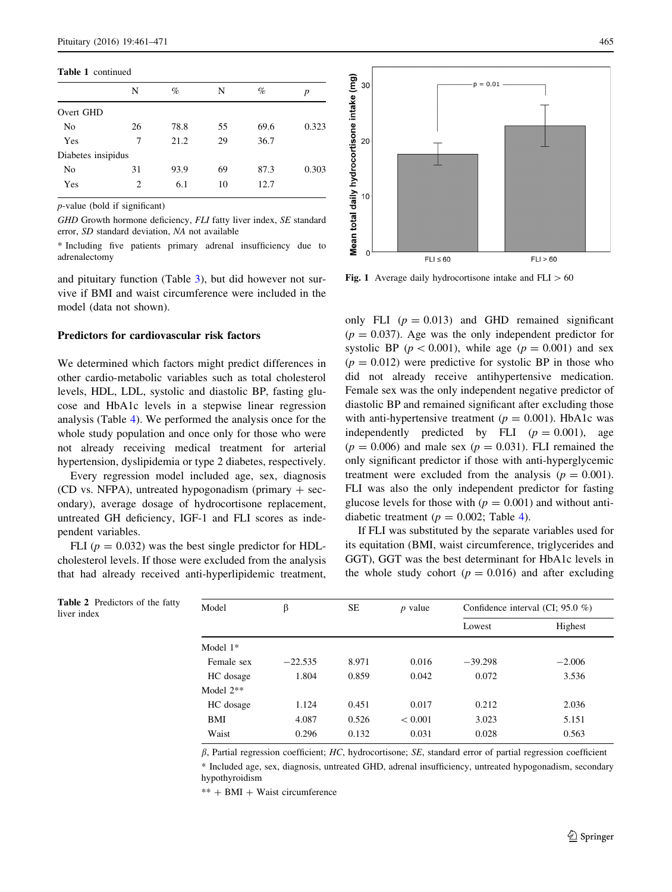#### <span id="page-4-0"></span>Table 1 continued

|                    | N              | $\%$ | N  | $\%$ | p     |
|--------------------|----------------|------|----|------|-------|
| Overt GHD          |                |      |    |      |       |
| No                 | 26             | 78.8 | 55 | 69.6 | 0.323 |
| Yes                | 7              | 21.2 | 29 | 36.7 |       |
| Diabetes insipidus |                |      |    |      |       |
| No                 | 31             | 93.9 | 69 | 87.3 | 0.303 |
| Yes                | $\mathfrak{D}$ | 6.1  | 10 | 12.7 |       |
|                    |                |      |    |      |       |

p-value (bold if significant)

GHD Growth hormone deficiency, FLI fatty liver index, SE standard error, SD standard deviation, NA not available

\* Including five patients primary adrenal insufficiency due to adrenalectomy

and pituitary function (Table [3\)](#page-5-0), but did however not survive if BMI and waist circumference were included in the model (data not shown).

#### Predictors for cardiovascular risk factors

We determined which factors might predict differences in other cardio-metabolic variables such as total cholesterol levels, HDL, LDL, systolic and diastolic BP, fasting glucose and HbA1c levels in a stepwise linear regression analysis (Table [4\)](#page-5-0). We performed the analysis once for the whole study population and once only for those who were not already receiving medical treatment for arterial hypertension, dyslipidemia or type 2 diabetes, respectively.

Every regression model included age, sex, diagnosis (CD vs. NFPA), untreated hypogonadism (primary  $+$  secondary), average dosage of hydrocortisone replacement, untreated GH deficiency, IGF-1 and FLI scores as independent variables.

FLI ( $p = 0.032$ ) was the best single predictor for HDLcholesterol levels. If those were excluded from the analysis that had already received anti-hyperlipidemic treatment,



Fig. 1 Average daily hydrocortisone intake and  $FLI > 60$ 

only FLI  $(p = 0.013)$  and GHD remained significant  $(p = 0.037)$ . Age was the only independent predictor for systolic BP ( $p < 0.001$ ), while age ( $p = 0.001$ ) and sex  $(p = 0.012)$  were predictive for systolic BP in those who did not already receive antihypertensive medication. Female sex was the only independent negative predictor of diastolic BP and remained significant after excluding those with anti-hypertensive treatment ( $p = 0.001$ ). HbA1c was independently predicted by FLI  $(p = 0.001)$ , age  $(p = 0.006)$  and male sex  $(p = 0.031)$ . FLI remained the only significant predictor if those with anti-hyperglycemic treatment were excluded from the analysis ( $p = 0.001$ ). FLI was also the only independent predictor for fasting glucose levels for those with  $(p = 0.001)$  and without antidiabetic treatment ( $p = 0.002$ ; Table [4\)](#page-5-0).

If FLI was substituted by the separate variables used for its equitation (BMI, waist circumference, triglycerides and GGT), GGT was the best determinant for HbA1c levels in the whole study cohort ( $p = 0.016$ ) and after excluding

| Table 2 Predictors of the fatty<br>liver index | Model       | β         | <b>SE</b> | $p$ value | Confidence interval (CI; $95.0 \%$ ) |          |  |
|------------------------------------------------|-------------|-----------|-----------|-----------|--------------------------------------|----------|--|
|                                                |             |           |           |           | Lowest                               | Highest  |  |
|                                                | Model $1*$  |           |           |           |                                      |          |  |
|                                                | Female sex  | $-22.535$ | 8.971     | 0.016     | $-39.298$                            | $-2.006$ |  |
|                                                | HC dosage   | 1.804     | 0.859     | 0.042     | 0.072                                | 3.536    |  |
|                                                | Model $2**$ |           |           |           |                                      |          |  |
|                                                | HC dosage   | 1.124     | 0.451     | 0.017     | 0.212                                | 2.036    |  |
|                                                | BMI         | 4.087     | 0.526     | < 0.001   | 3.023                                | 5.151    |  |
|                                                | Waist       | 0.296     | 0.132     | 0.031     | 0.028                                | 0.563    |  |
|                                                |             |           |           |           |                                      |          |  |

 $\beta$ , Partial regression coefficient; HC, hydrocortisone; SE, standard error of partial regression coefficient \* Included age, sex, diagnosis, untreated GHD, adrenal insufficiency, untreated hypogonadism, secondary hypothyroidism

\*\* + BMI + Waist circumference

Table 2 Predictors of the fatty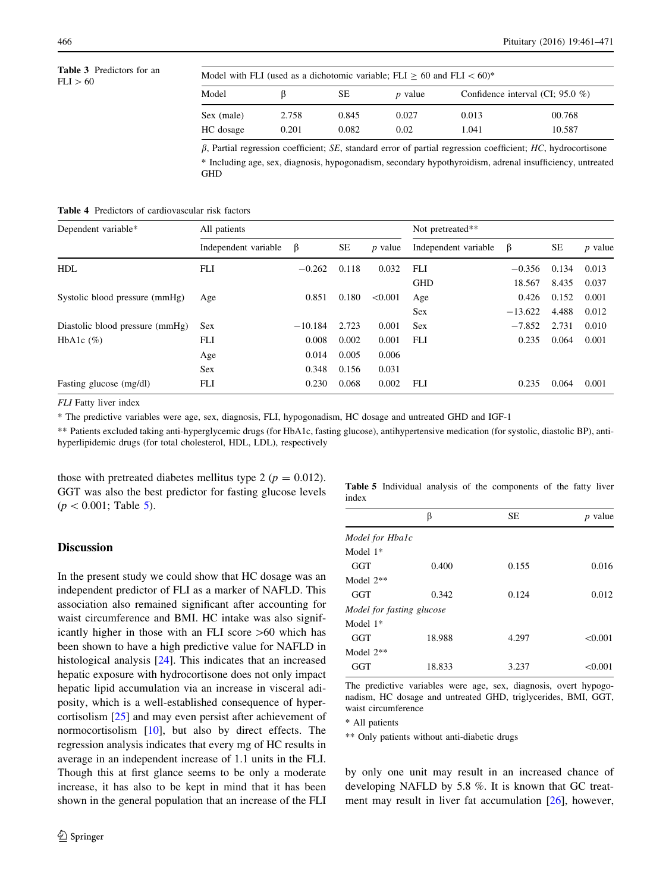# <span id="page-5-0"></span>**Table 3** Predictors for an  $FLI > 60$

| $\mathbf{1} \cdot \mathbf{1}$ and $\mathbf{1} \cdot \mathbf{1}$ and $\mathbf{1} \cdot \mathbf{1} \cdot \mathbf{1}$ |  |         |
|--------------------------------------------------------------------------------------------------------------------|--|---------|
|                                                                                                                    |  |         |
|                                                                                                                    |  |         |
|                                                                                                                    |  | _______ |

| <b>Table</b> $\sigma$ Theorem For all<br>FLI > 60 |            | Model with FLI (used as a dichotomic variable; FLI $> 60$ and FLI $< 60$ )* |                      |       |                                      |        |  |  |  |  |
|---------------------------------------------------|------------|-----------------------------------------------------------------------------|----------------------|-------|--------------------------------------|--------|--|--|--|--|
|                                                   | Model      |                                                                             | SЕ<br><i>p</i> value |       | Confidence interval (CI; $95.0 \%$ ) |        |  |  |  |  |
|                                                   | Sex (male) | 2.758                                                                       | 0.845                | 0.027 | 0.013                                | 00.768 |  |  |  |  |
|                                                   | HC dosage  | 0.201                                                                       | 0.082                | 0.02  | .041                                 | 10.587 |  |  |  |  |

 $\beta$ , Partial regression coefficient; SE, standard error of partial regression coefficient; HC, hydrocortisone \* Including age, sex, diagnosis, hypogonadism, secondary hypothyroidism, adrenal insufficiency, untreated GHD

#### Table 4 Predictors of cardiovascular risk factors

| Dependent variable*             | All patients         |           |       | Not pretreated**    |                      |           |           |           |
|---------------------------------|----------------------|-----------|-------|---------------------|----------------------|-----------|-----------|-----------|
|                                 | Independent variable | $\beta$   | SE    | $\n  p \n  value\n$ | Independent variable | β         | <b>SE</b> | $p$ value |
| <b>HDL</b>                      | <b>FLI</b>           | $-0.262$  | 0.118 | 0.032               | <b>FLI</b>           | $-0.356$  | 0.134     | 0.013     |
|                                 |                      |           |       |                     | <b>GHD</b>           | 18.567    | 8.435     | 0.037     |
| Systolic blood pressure (mmHg)  | Age                  | 0.851     | 0.180 | < 0.001             | Age                  | 0.426     | 0.152     | 0.001     |
|                                 |                      |           |       |                     | Sex                  | $-13.622$ | 4.488     | 0.012     |
| Diastolic blood pressure (mmHg) | <b>Sex</b>           | $-10.184$ | 2.723 | 0.001               | <b>Sex</b>           | $-7.852$  | 2.731     | 0.010     |
| HbA1c $(\%)$                    | <b>FLI</b>           | 0.008     | 0.002 | 0.001               | FLI                  | 0.235     | 0.064     | 0.001     |
|                                 | Age                  | 0.014     | 0.005 | 0.006               |                      |           |           |           |
|                                 | <b>Sex</b>           | 0.348     | 0.156 | 0.031               |                      |           |           |           |
| Fasting glucose (mg/dl)         | <b>FLI</b>           | 0.230     | 0.068 | 0.002               | FLI                  | 0.235     | 0.064     | 0.001     |

FLI Fatty liver index

\* The predictive variables were age, sex, diagnosis, FLI, hypogonadism, HC dosage and untreated GHD and IGF-1

\*\* Patients excluded taking anti-hyperglycemic drugs (for HbA1c, fasting glucose), antihypertensive medication (for systolic, diastolic BP), antihyperlipidemic drugs (for total cholesterol, HDL, LDL), respectively

those with pretreated diabetes mellitus type 2 ( $p = 0.012$ ). GGT was also the best predictor for fasting glucose levels  $(p < 0.001;$  Table 5).

## **Discussion**

In the present study we could show that HC dosage was an independent predictor of FLI as a marker of NAFLD. This association also remained significant after accounting for waist circumference and BMI. HC intake was also significantly higher in those with an FLI score  $>60$  which has been shown to have a high predictive value for NAFLD in histological analysis [\[24](#page-9-0)]. This indicates that an increased hepatic exposure with hydrocortisone does not only impact hepatic lipid accumulation via an increase in visceral adiposity, which is a well-established consequence of hypercortisolism [[25\]](#page-9-0) and may even persist after achievement of normocortisolism [[10\]](#page-8-0), but also by direct effects. The regression analysis indicates that every mg of HC results in average in an independent increase of 1.1 units in the FLI. Though this at first glance seems to be only a moderate increase, it has also to be kept in mind that it has been shown in the general population that an increase of the FLI Table 5 Individual analysis of the components of the fatty liver index

|                           | β      | SE    | <i>p</i> value |
|---------------------------|--------|-------|----------------|
| Model for Hbalc           |        |       |                |
| Model $1*$                |        |       |                |
| GGT                       | 0.400  | 0.155 | 0.016          |
| Model $2**$               |        |       |                |
| GGT                       | 0.342  | 0.124 | 0.012          |
| Model for fasting glucose |        |       |                |
| Model $1*$                |        |       |                |
| GGT                       | 18.988 | 4.297 | < 0.001        |
| Model $2**$               |        |       |                |
| GGT                       | 18.833 | 3.237 | < 0.001        |

The predictive variables were age, sex, diagnosis, overt hypogonadism, HC dosage and untreated GHD, triglycerides, BMI, GGT, waist circumference

\* All patients

\*\* Only patients without anti-diabetic drugs

by only one unit may result in an increased chance of developing NAFLD by 5.8 %. It is known that GC treat-ment may result in liver fat accumulation [[26\]](#page-9-0), however,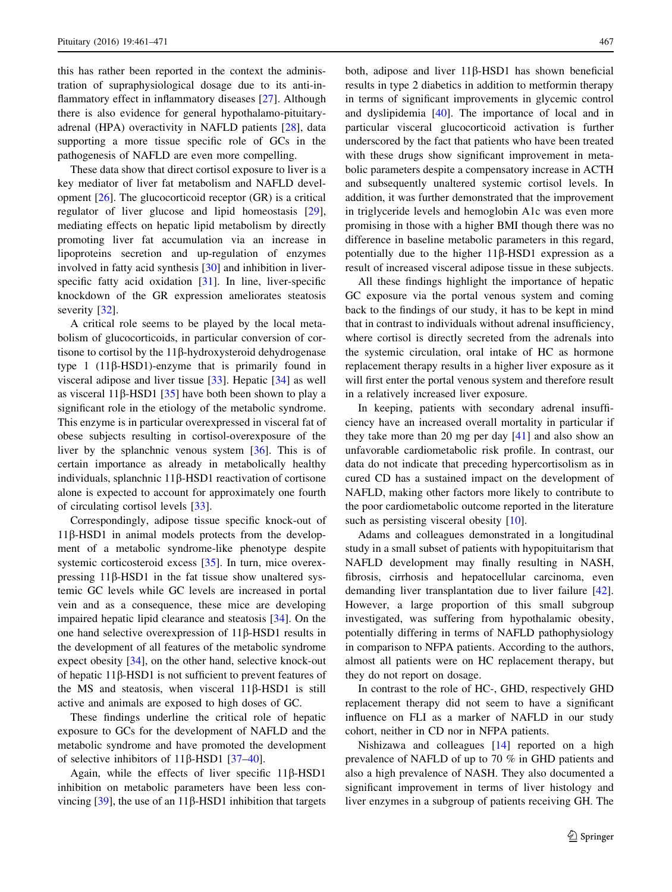this has rather been reported in the context the administration of supraphysiological dosage due to its anti-in-flammatory effect in inflammatory diseases [[27\]](#page-9-0). Although there is also evidence for general hypothalamo-pituitaryadrenal (HPA) overactivity in NAFLD patients [[28\]](#page-9-0), data supporting a more tissue specific role of GCs in the pathogenesis of NAFLD are even more compelling.

These data show that direct cortisol exposure to liver is a key mediator of liver fat metabolism and NAFLD development  $[26]$  $[26]$ . The glucocorticoid receptor  $(GR)$  is a critical regulator of liver glucose and lipid homeostasis [\[29](#page-9-0)], mediating effects on hepatic lipid metabolism by directly promoting liver fat accumulation via an increase in lipoproteins secretion and up-regulation of enzymes involved in fatty acid synthesis [\[30](#page-9-0)] and inhibition in liver-specific fatty acid oxidation [\[31](#page-9-0)]. In line, liver-specific knockdown of the GR expression ameliorates steatosis severity [\[32](#page-9-0)].

A critical role seems to be played by the local metabolism of glucocorticoids, in particular conversion of cortisone to cortisol by the  $11\beta$ -hydroxysteroid dehydrogenase type  $1$  (11 $\beta$ -HSD1)-enzyme that is primarily found in visceral adipose and liver tissue [\[33](#page-9-0)]. Hepatic [[34\]](#page-9-0) as well as visceral 11 $\beta$ -HSD1 [[35\]](#page-9-0) have both been shown to play a significant role in the etiology of the metabolic syndrome. This enzyme is in particular overexpressed in visceral fat of obese subjects resulting in cortisol-overexposure of the liver by the splanchnic venous system [[36\]](#page-9-0). This is of certain importance as already in metabolically healthy individuals, splanchnic  $11\beta$ -HSD1 reactivation of cortisone alone is expected to account for approximately one fourth of circulating cortisol levels [\[33](#page-9-0)].

Correspondingly, adipose tissue specific knock-out of  $11\beta$ -HSD1 in animal models protects from the development of a metabolic syndrome-like phenotype despite systemic corticosteroid excess [[35\]](#page-9-0). In turn, mice overexpressing 11 $\beta$ -HSD1 in the fat tissue show unaltered systemic GC levels while GC levels are increased in portal vein and as a consequence, these mice are developing impaired hepatic lipid clearance and steatosis [[34\]](#page-9-0). On the one hand selective overexpression of 11b-HSD1 results in the development of all features of the metabolic syndrome expect obesity [\[34](#page-9-0)], on the other hand, selective knock-out of hepatic  $11\beta$ -HSD1 is not sufficient to prevent features of the MS and steatosis, when visceral  $11\beta$ -HSD1 is still active and animals are exposed to high doses of GC.

These findings underline the critical role of hepatic exposure to GCs for the development of NAFLD and the metabolic syndrome and have promoted the development of selective inhibitors of  $11\beta$ -HSD1 [[37–40\]](#page-9-0).

Again, while the effects of liver specific  $11\beta$ -HSD1 inhibition on metabolic parameters have been less convincing  $[39]$  $[39]$ , the use of an 11 $\beta$ -HSD1 inhibition that targets both, adipose and liver 11b-HSD1 has shown beneficial results in type 2 diabetics in addition to metformin therapy in terms of significant improvements in glycemic control and dyslipidemia [\[40](#page-9-0)]. The importance of local and in particular visceral glucocorticoid activation is further underscored by the fact that patients who have been treated with these drugs show significant improvement in metabolic parameters despite a compensatory increase in ACTH and subsequently unaltered systemic cortisol levels. In addition, it was further demonstrated that the improvement in triglyceride levels and hemoglobin A1c was even more promising in those with a higher BMI though there was no difference in baseline metabolic parameters in this regard, potentially due to the higher  $11\beta$ -HSD1 expression as a result of increased visceral adipose tissue in these subjects.

All these findings highlight the importance of hepatic GC exposure via the portal venous system and coming back to the findings of our study, it has to be kept in mind that in contrast to individuals without adrenal insufficiency, where cortisol is directly secreted from the adrenals into the systemic circulation, oral intake of HC as hormone replacement therapy results in a higher liver exposure as it will first enter the portal venous system and therefore result in a relatively increased liver exposure.

In keeping, patients with secondary adrenal insufficiency have an increased overall mortality in particular if they take more than 20 mg per day  $[41]$  $[41]$  and also show an unfavorable cardiometabolic risk profile. In contrast, our data do not indicate that preceding hypercortisolism as in cured CD has a sustained impact on the development of NAFLD, making other factors more likely to contribute to the poor cardiometabolic outcome reported in the literature such as persisting visceral obesity [[10\]](#page-8-0).

Adams and colleagues demonstrated in a longitudinal study in a small subset of patients with hypopituitarism that NAFLD development may finally resulting in NASH, fibrosis, cirrhosis and hepatocellular carcinoma, even demanding liver transplantation due to liver failure [\[42](#page-10-0)]. However, a large proportion of this small subgroup investigated, was suffering from hypothalamic obesity, potentially differing in terms of NAFLD pathophysiology in comparison to NFPA patients. According to the authors, almost all patients were on HC replacement therapy, but they do not report on dosage.

In contrast to the role of HC-, GHD, respectively GHD replacement therapy did not seem to have a significant influence on FLI as a marker of NAFLD in our study cohort, neither in CD nor in NFPA patients.

Nishizawa and colleagues [\[14](#page-9-0)] reported on a high prevalence of NAFLD of up to 70 % in GHD patients and also a high prevalence of NASH. They also documented a significant improvement in terms of liver histology and liver enzymes in a subgroup of patients receiving GH. The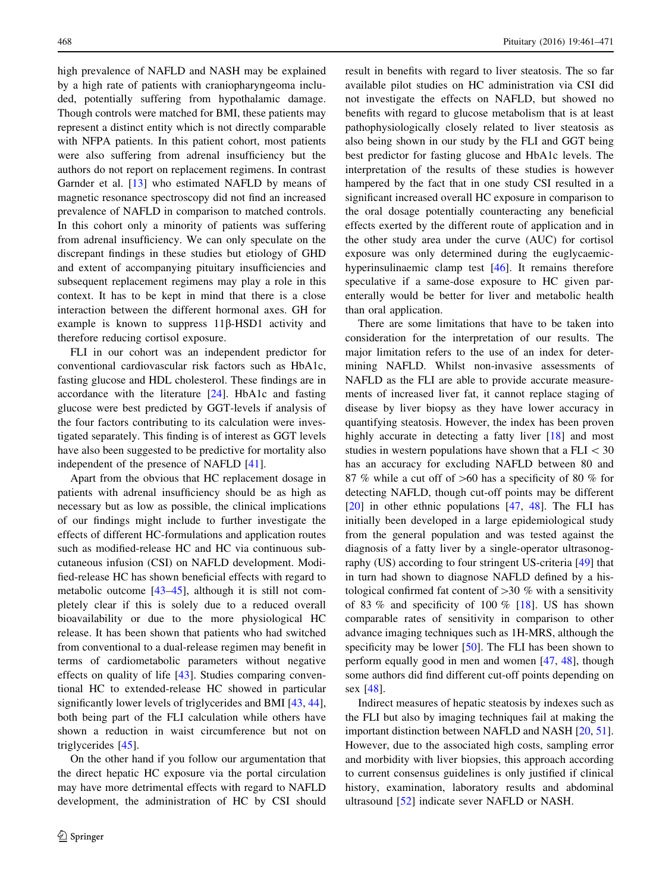high prevalence of NAFLD and NASH may be explained by a high rate of patients with craniopharyngeoma included, potentially suffering from hypothalamic damage. Though controls were matched for BMI, these patients may represent a distinct entity which is not directly comparable with NFPA patients. In this patient cohort, most patients were also suffering from adrenal insufficiency but the authors do not report on replacement regimens. In contrast Garnder et al. [\[13](#page-9-0)] who estimated NAFLD by means of magnetic resonance spectroscopy did not find an increased prevalence of NAFLD in comparison to matched controls. In this cohort only a minority of patients was suffering from adrenal insufficiency. We can only speculate on the discrepant findings in these studies but etiology of GHD and extent of accompanying pituitary insufficiencies and subsequent replacement regimens may play a role in this context. It has to be kept in mind that there is a close interaction between the different hormonal axes. GH for example is known to suppress 11<sup>B</sup>-HSD1 activity and therefore reducing cortisol exposure.

FLI in our cohort was an independent predictor for conventional cardiovascular risk factors such as HbA1c, fasting glucose and HDL cholesterol. These findings are in accordance with the literature [[24\]](#page-9-0). HbA1c and fasting glucose were best predicted by GGT-levels if analysis of the four factors contributing to its calculation were investigated separately. This finding is of interest as GGT levels have also been suggested to be predictive for mortality also independent of the presence of NAFLD [\[41](#page-9-0)].

Apart from the obvious that HC replacement dosage in patients with adrenal insufficiency should be as high as necessary but as low as possible, the clinical implications of our findings might include to further investigate the effects of different HC-formulations and application routes such as modified-release HC and HC via continuous subcutaneous infusion (CSI) on NAFLD development. Modified-release HC has shown beneficial effects with regard to metabolic outcome [[43](#page-10-0)–[45\]](#page-10-0), although it is still not completely clear if this is solely due to a reduced overall bioavailability or due to the more physiological HC release. It has been shown that patients who had switched from conventional to a dual-release regimen may benefit in terms of cardiometabolic parameters without negative effects on quality of life [\[43](#page-10-0)]. Studies comparing conventional HC to extended-release HC showed in particular significantly lower levels of triglycerides and BMI [\[43](#page-10-0), [44](#page-10-0)], both being part of the FLI calculation while others have shown a reduction in waist circumference but not on triglycerides [[45\]](#page-10-0).

On the other hand if you follow our argumentation that the direct hepatic HC exposure via the portal circulation may have more detrimental effects with regard to NAFLD development, the administration of HC by CSI should result in benefits with regard to liver steatosis. The so far available pilot studies on HC administration via CSI did not investigate the effects on NAFLD, but showed no benefits with regard to glucose metabolism that is at least pathophysiologically closely related to liver steatosis as also being shown in our study by the FLI and GGT being best predictor for fasting glucose and HbA1c levels. The interpretation of the results of these studies is however hampered by the fact that in one study CSI resulted in a significant increased overall HC exposure in comparison to the oral dosage potentially counteracting any beneficial effects exerted by the different route of application and in the other study area under the curve (AUC) for cortisol exposure was only determined during the euglycaemichyperinsulinaemic clamp test [\[46](#page-10-0)]. It remains therefore speculative if a same-dose exposure to HC given parenterally would be better for liver and metabolic health than oral application.

There are some limitations that have to be taken into consideration for the interpretation of our results. The major limitation refers to the use of an index for determining NAFLD. Whilst non-invasive assessments of NAFLD as the FLI are able to provide accurate measurements of increased liver fat, it cannot replace staging of disease by liver biopsy as they have lower accuracy in quantifying steatosis. However, the index has been proven highly accurate in detecting a fatty liver [[18\]](#page-9-0) and most studies in western populations have shown that a  $FLI < 30$ has an accuracy for excluding NAFLD between 80 and 87 % while a cut off of  $>60$  has a specificity of 80 % for detecting NAFLD, though cut-off points may be different [\[20](#page-9-0)] in other ethnic populations [[47](#page-10-0), [48](#page-10-0)]. The FLI has initially been developed in a large epidemiological study from the general population and was tested against the diagnosis of a fatty liver by a single-operator ultrasonography (US) according to four stringent US-criteria [\[49](#page-10-0)] that in turn had shown to diagnose NAFLD defined by a histological confirmed fat content of  $>30\%$  with a sensitivity of 83 % and specificity of 100 %  $[18]$  $[18]$ . US has shown comparable rates of sensitivity in comparison to other advance imaging techniques such as 1H-MRS, although the specificity may be lower [[50\]](#page-10-0). The FLI has been shown to perform equally good in men and women [[47,](#page-10-0) [48\]](#page-10-0), though some authors did find different cut-off points depending on sex [\[48](#page-10-0)].

Indirect measures of hepatic steatosis by indexes such as the FLI but also by imaging techniques fail at making the important distinction between NAFLD and NASH [[20,](#page-9-0) [51](#page-10-0)]. However, due to the associated high costs, sampling error and morbidity with liver biopsies, this approach according to current consensus guidelines is only justified if clinical history, examination, laboratory results and abdominal ultrasound [[52\]](#page-10-0) indicate sever NAFLD or NASH.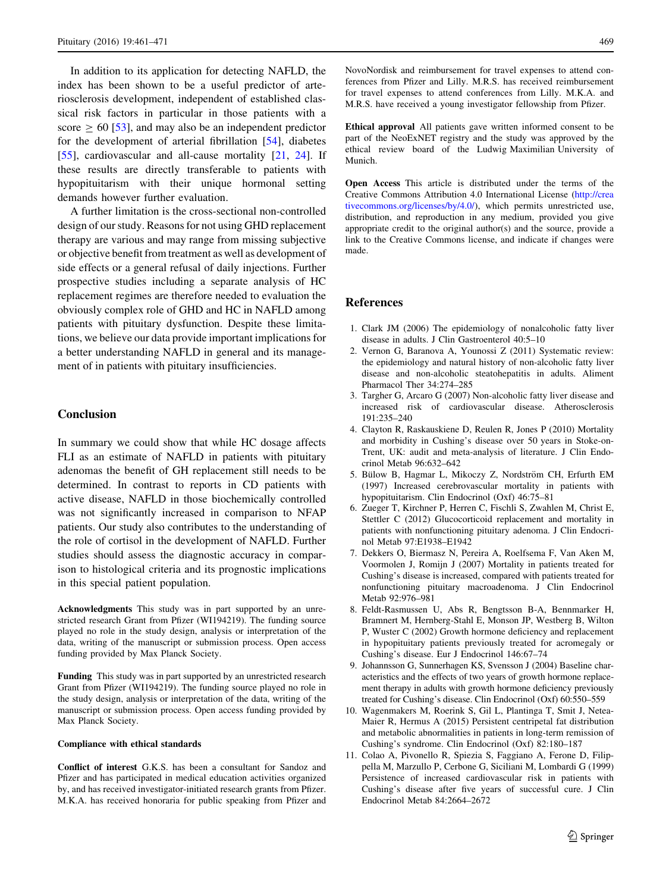<span id="page-8-0"></span>In addition to its application for detecting NAFLD, the index has been shown to be a useful predictor of arteriosclerosis development, independent of established classical risk factors in particular in those patients with a score  $> 60$  [\[53](#page-10-0)], and may also be an independent predictor for the development of arterial fibrillation [[54\]](#page-10-0), diabetes [\[55](#page-10-0)], cardiovascular and all-cause mortality [\[21](#page-9-0), [24\]](#page-9-0). If these results are directly transferable to patients with hypopituitarism with their unique hormonal setting demands however further evaluation.

A further limitation is the cross-sectional non-controlled design of our study. Reasons for not using GHD replacement therapy are various and may range from missing subjective or objective benefit from treatment as well as development of side effects or a general refusal of daily injections. Further prospective studies including a separate analysis of HC replacement regimes are therefore needed to evaluation the obviously complex role of GHD and HC in NAFLD among patients with pituitary dysfunction. Despite these limitations, we believe our data provide important implications for a better understanding NAFLD in general and its management of in patients with pituitary insufficiencies.

## Conclusion

In summary we could show that while HC dosage affects FLI as an estimate of NAFLD in patients with pituitary adenomas the benefit of GH replacement still needs to be determined. In contrast to reports in CD patients with active disease, NAFLD in those biochemically controlled was not significantly increased in comparison to NFAP patients. Our study also contributes to the understanding of the role of cortisol in the development of NAFLD. Further studies should assess the diagnostic accuracy in comparison to histological criteria and its prognostic implications in this special patient population.

Acknowledgments This study was in part supported by an unrestricted research Grant from Pfizer (WI194219). The funding source played no role in the study design, analysis or interpretation of the data, writing of the manuscript or submission process. Open access funding provided by Max Planck Society.

Funding This study was in part supported by an unrestricted research Grant from Pfizer (WI194219). The funding source played no role in the study design, analysis or interpretation of the data, writing of the manuscript or submission process. Open access funding provided by Max Planck Society.

## Compliance with ethical standards

Conflict of interest G.K.S. has been a consultant for Sandoz and Pfizer and has participated in medical education activities organized by, and has received investigator-initiated research grants from Pfizer. M.K.A. has received honoraria for public speaking from Pfizer and NovoNordisk and reimbursement for travel expenses to attend conferences from Pfizer and Lilly. M.R.S. has received reimbursement for travel expenses to attend conferences from Lilly. M.K.A. and M.R.S. have received a young investigator fellowship from Pfizer.

Ethical approval All patients gave written informed consent to be part of the NeoExNET registry and the study was approved by the ethical review board of the Ludwig Maximilian University of Munich.

Open Access This article is distributed under the terms of the Creative Commons Attribution 4.0 International License ([http://crea](http://creativecommons.org/licenses/by/4.0/) [tivecommons.org/licenses/by/4.0/\)](http://creativecommons.org/licenses/by/4.0/), which permits unrestricted use, distribution, and reproduction in any medium, provided you give appropriate credit to the original author(s) and the source, provide a link to the Creative Commons license, and indicate if changes were made.

## References

- 1. Clark JM (2006) The epidemiology of nonalcoholic fatty liver disease in adults. J Clin Gastroenterol 40:5–10
- 2. Vernon G, Baranova A, Younossi Z (2011) Systematic review: the epidemiology and natural history of non-alcoholic fatty liver disease and non-alcoholic steatohepatitis in adults. Aliment Pharmacol Ther 34:274–285
- 3. Targher G, Arcaro G (2007) Non-alcoholic fatty liver disease and increased risk of cardiovascular disease. Atherosclerosis 191:235–240
- 4. Clayton R, Raskauskiene D, Reulen R, Jones P (2010) Mortality and morbidity in Cushing's disease over 50 years in Stoke-on-Trent, UK: audit and meta-analysis of literature. J Clin Endocrinol Metab 96:632–642
- 5. Bülow B, Hagmar L, Mikoczy Z, Nordström CH, Erfurth EM (1997) Increased cerebrovascular mortality in patients with hypopituitarism. Clin Endocrinol (Oxf) 46:75–81
- 6. Zueger T, Kirchner P, Herren C, Fischli S, Zwahlen M, Christ E, Stettler C (2012) Glucocorticoid replacement and mortality in patients with nonfunctioning pituitary adenoma. J Clin Endocrinol Metab 97:E1938–E1942
- 7. Dekkers O, Biermasz N, Pereira A, Roelfsema F, Van Aken M, Voormolen J, Romijn J (2007) Mortality in patients treated for Cushing's disease is increased, compared with patients treated for nonfunctioning pituitary macroadenoma. J Clin Endocrinol Metab 92:976–981
- 8. Feldt-Rasmussen U, Abs R, Bengtsson B-A, Bennmarker H, Bramnert M, Hernberg-Stahl E, Monson JP, Westberg B, Wilton P, Wuster C (2002) Growth hormone deficiency and replacement in hypopituitary patients previously treated for acromegaly or Cushing's disease. Eur J Endocrinol 146:67–74
- 9. Johannsson G, Sunnerhagen KS, Svensson J (2004) Baseline characteristics and the effects of two years of growth hormone replacement therapy in adults with growth hormone deficiency previously treated for Cushing's disease. Clin Endocrinol (Oxf) 60:550–559
- 10. Wagenmakers M, Roerink S, Gil L, Plantinga T, Smit J, Netea-Maier R, Hermus A (2015) Persistent centripetal fat distribution and metabolic abnormalities in patients in long-term remission of Cushing's syndrome. Clin Endocrinol (Oxf) 82:180–187
- 11. Colao A, Pivonello R, Spiezia S, Faggiano A, Ferone D, Filippella M, Marzullo P, Cerbone G, Siciliani M, Lombardi G (1999) Persistence of increased cardiovascular risk in patients with Cushing's disease after five years of successful cure. J Clin Endocrinol Metab 84:2664–2672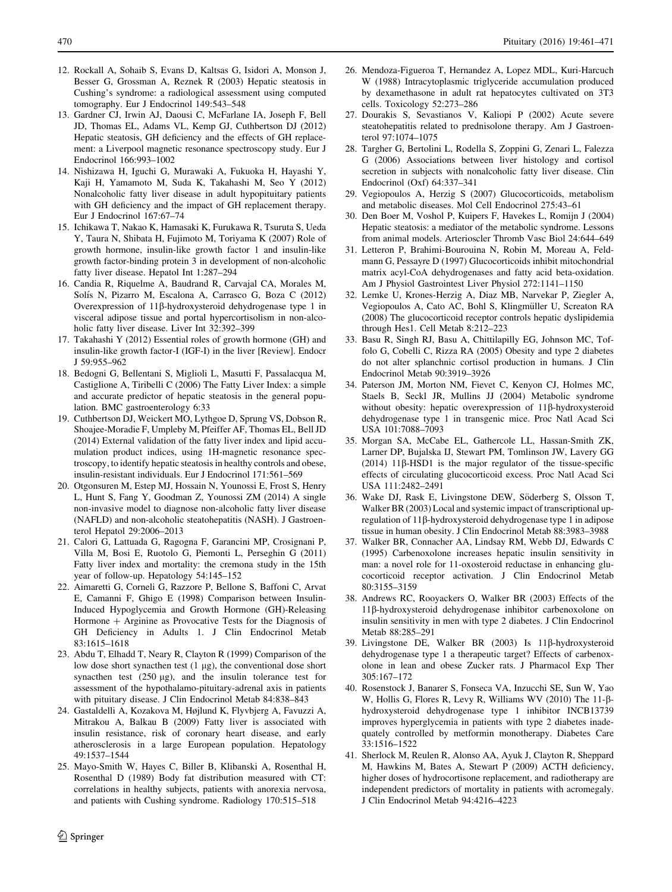- <span id="page-9-0"></span>12. Rockall A, Sohaib S, Evans D, Kaltsas G, Isidori A, Monson J, Besser G, Grossman A, Reznek R (2003) Hepatic steatosis in Cushing's syndrome: a radiological assessment using computed tomography. Eur J Endocrinol 149:543–548
- 13. Gardner CJ, Irwin AJ, Daousi C, McFarlane IA, Joseph F, Bell JD, Thomas EL, Adams VL, Kemp GJ, Cuthbertson DJ (2012) Hepatic steatosis, GH deficiency and the effects of GH replacement: a Liverpool magnetic resonance spectroscopy study. Eur J Endocrinol 166:993–1002
- 14. Nishizawa H, Iguchi G, Murawaki A, Fukuoka H, Hayashi Y, Kaji H, Yamamoto M, Suda K, Takahashi M, Seo Y (2012) Nonalcoholic fatty liver disease in adult hypopituitary patients with GH deficiency and the impact of GH replacement therapy. Eur J Endocrinol 167:67–74
- 15. Ichikawa T, Nakao K, Hamasaki K, Furukawa R, Tsuruta S, Ueda Y, Taura N, Shibata H, Fujimoto M, Toriyama K (2007) Role of growth hormone, insulin-like growth factor 1 and insulin-like growth factor-binding protein 3 in development of non-alcoholic fatty liver disease. Hepatol Int 1:287–294
- 16. Candia R, Riquelme A, Baudrand R, Carvajal CA, Morales M, Solís N, Pizarro M, Escalona A, Carrasco G, Boza C (2012) Overexpression of 11b-hydroxysteroid dehydrogenase type 1 in visceral adipose tissue and portal hypercortisolism in non-alcoholic fatty liver disease. Liver Int 32:392–399
- 17. Takahashi Y (2012) Essential roles of growth hormone (GH) and insulin-like growth factor-I (IGF-I) in the liver [Review]. Endocr J 59:955–962
- 18. Bedogni G, Bellentani S, Miglioli L, Masutti F, Passalacqua M, Castiglione A, Tiribelli C (2006) The Fatty Liver Index: a simple and accurate predictor of hepatic steatosis in the general population. BMC gastroenterology 6:33
- 19. Cuthbertson DJ, Weickert MO, Lythgoe D, Sprung VS, Dobson R, Shoajee-Moradie F, Umpleby M, Pfeiffer AF, Thomas EL, Bell JD (2014) External validation of the fatty liver index and lipid accumulation product indices, using 1H-magnetic resonance spectroscopy, to identify hepatic steatosis in healthy controls and obese, insulin-resistant individuals. Eur J Endocrinol 171:561–569
- 20. Otgonsuren M, Estep MJ, Hossain N, Younossi E, Frost S, Henry L, Hunt S, Fang Y, Goodman Z, Younossi ZM (2014) A single non-invasive model to diagnose non-alcoholic fatty liver disease (NAFLD) and non-alcoholic steatohepatitis (NASH). J Gastroenterol Hepatol 29:2006–2013
- 21. Calori G, Lattuada G, Ragogna F, Garancini MP, Crosignani P, Villa M, Bosi E, Ruotolo G, Piemonti L, Perseghin G (2011) Fatty liver index and mortality: the cremona study in the 15th year of follow-up. Hepatology 54:145–152
- 22. Aimaretti G, Corneli G, Razzore P, Bellone S, Baffoni C, Arvat E, Camanni F, Ghigo E (1998) Comparison between Insulin-Induced Hypoglycemia and Growth Hormone (GH)-Releasing Hormone + Arginine as Provocative Tests for the Diagnosis of GH Deficiency in Adults 1. J Clin Endocrinol Metab 83:1615–1618
- 23. Abdu T, Elhadd T, Neary R, Clayton R (1999) Comparison of the low dose short synacthen test  $(1 \mu g)$ , the conventional dose short synacthen test  $(250 \mu g)$ , and the insulin tolerance test for assessment of the hypothalamo-pituitary-adrenal axis in patients with pituitary disease. J Clin Endocrinol Metab 84:838–843
- 24. Gastaldelli A, Kozakova M, Højlund K, Flyvbjerg A, Favuzzi A, Mitrakou A, Balkau B (2009) Fatty liver is associated with insulin resistance, risk of coronary heart disease, and early atherosclerosis in a large European population. Hepatology 49:1537–1544
- 25. Mayo-Smith W, Hayes C, Biller B, Klibanski A, Rosenthal H, Rosenthal D (1989) Body fat distribution measured with CT: correlations in healthy subjects, patients with anorexia nervosa, and patients with Cushing syndrome. Radiology 170:515–518
- 27. Dourakis S, Sevastianos V, Kaliopi P (2002) Acute severe steatohepatitis related to prednisolone therapy. Am J Gastroenterol 97:1074–1075
- 28. Targher G, Bertolini L, Rodella S, Zoppini G, Zenari L, Falezza G (2006) Associations between liver histology and cortisol secretion in subjects with nonalcoholic fatty liver disease. Clin Endocrinol (Oxf) 64:337–341
- 29. Vegiopoulos A, Herzig S (2007) Glucocorticoids, metabolism and metabolic diseases. Mol Cell Endocrinol 275:43–61
- 30. Den Boer M, Voshol P, Kuipers F, Havekes L, Romijn J (2004) Hepatic steatosis: a mediator of the metabolic syndrome. Lessons from animal models. Arterioscler Thromb Vasc Biol 24:644–649
- 31. Letteron P, Brahimi-Bourouina N, Robin M, Moreau A, Feldmann G, Pessayre D (1997) Glucocorticoids inhibit mitochondrial matrix acyl-CoA dehydrogenases and fatty acid beta-oxidation. Am J Physiol Gastrointest Liver Physiol 272:1141–1150
- 32. Lemke U, Krones-Herzig A, Diaz MB, Narvekar P, Ziegler A, Vegiopoulos A, Cato AC, Bohl S, Klingmüller U, Screaton RA (2008) The glucocorticoid receptor controls hepatic dyslipidemia through Hes1. Cell Metab 8:212–223
- 33. Basu R, Singh RJ, Basu A, Chittilapilly EG, Johnson MC, Toffolo G, Cobelli C, Rizza RA (2005) Obesity and type 2 diabetes do not alter splanchnic cortisol production in humans. J Clin Endocrinol Metab 90:3919–3926
- 34. Paterson JM, Morton NM, Fievet C, Kenyon CJ, Holmes MC, Staels B, Seckl JR, Mullins JJ (2004) Metabolic syndrome without obesity: hepatic overexpression of 11 $\beta$ -hydroxysteroid dehydrogenase type 1 in transgenic mice. Proc Natl Acad Sci USA 101:7088–7093
- 35. Morgan SA, McCabe EL, Gathercole LL, Hassan-Smith ZK, Larner DP, Bujalska IJ, Stewart PM, Tomlinson JW, Lavery GG (2014) 11 $\beta$ -HSD1 is the major regulator of the tissue-specific effects of circulating glucocorticoid excess. Proc Natl Acad Sci USA 111:2482–2491
- 36. Wake DJ, Rask E, Livingstone DEW, Söderberg S, Olsson T, Walker BR (2003) Local and systemic impact of transcriptional upregulation of 11b-hydroxysteroid dehydrogenase type 1 in adipose tissue in human obesity. J Clin Endocrinol Metab 88:3983–3988
- 37. Walker BR, Connacher AA, Lindsay RM, Webb DJ, Edwards C (1995) Carbenoxolone increases hepatic insulin sensitivity in man: a novel role for 11-oxosteroid reductase in enhancing glucocorticoid receptor activation. J Clin Endocrinol Metab 80:3155–3159
- 38. Andrews RC, Rooyackers O, Walker BR (2003) Effects of the 11b-hydroxysteroid dehydrogenase inhibitor carbenoxolone on insulin sensitivity in men with type 2 diabetes. J Clin Endocrinol Metab 88:285–291
- 39. Livingstone DE, Walker BR (2003) Is 11ß-hydroxysteroid dehydrogenase type 1 a therapeutic target? Effects of carbenoxolone in lean and obese Zucker rats. J Pharmacol Exp Ther 305:167–172
- 40. Rosenstock J, Banarer S, Fonseca VA, Inzucchi SE, Sun W, Yao W, Hollis G, Flores R, Levy R, Williams WV (2010) The 11-bhydroxysteroid dehydrogenase type 1 inhibitor INCB13739 improves hyperglycemia in patients with type 2 diabetes inadequately controlled by metformin monotherapy. Diabetes Care 33:1516–1522
- 41. Sherlock M, Reulen R, Alonso AA, Ayuk J, Clayton R, Sheppard M, Hawkins M, Bates A, Stewart P (2009) ACTH deficiency, higher doses of hydrocortisone replacement, and radiotherapy are independent predictors of mortality in patients with acromegaly. J Clin Endocrinol Metab 94:4216–4223